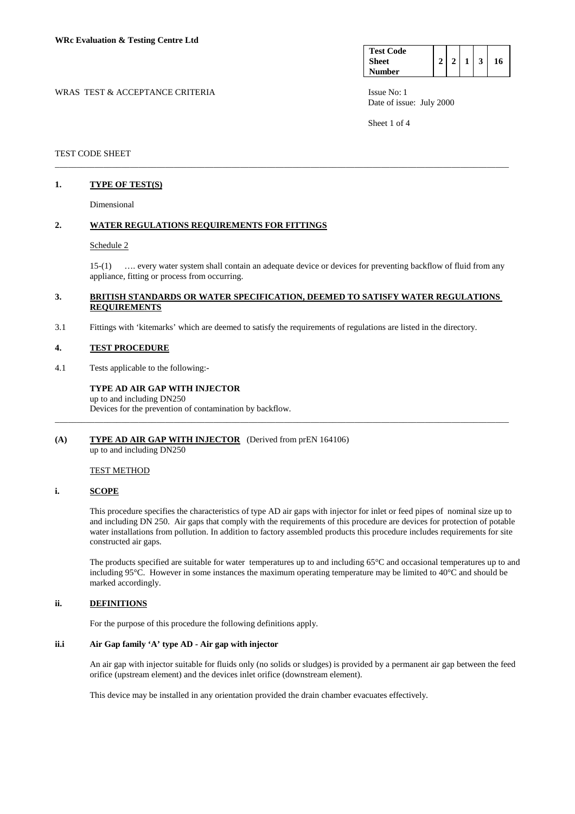| <b>Test Code</b> |  |  |    |
|------------------|--|--|----|
| <b>Sheet</b>     |  |  | 16 |
| <b>Number</b>    |  |  |    |

WRAS TEST & ACCEPTANCE CRITERIA ISSUE No: 1 Date of issue: July 2000

Sheet 1 of 4

### TEST CODE SHEET

# **1. TYPE OF TEST(S)**

Dimensional

#### **2. WATER REGULATIONS REQUIREMENTS FOR FITTINGS**

#### Schedule 2

 15-(1) …. every water system shall contain an adequate device or devices for preventing backflow of fluid from any appliance, fitting or process from occurring.

### **3. BRITISH STANDARDS OR WATER SPECIFICATION, DEEMED TO SATISFY WATER REGULATIONS REQUIREMENTS**

\_\_\_\_\_\_\_\_\_\_\_\_\_\_\_\_\_\_\_\_\_\_\_\_\_\_\_\_\_\_\_\_\_\_\_\_\_\_\_\_\_\_\_\_\_\_\_\_\_\_\_\_\_\_\_\_\_\_\_\_\_\_\_\_\_\_\_\_\_\_\_\_\_\_\_\_\_\_\_\_\_\_\_\_\_\_\_\_\_\_\_\_\_\_\_\_\_\_\_\_\_\_\_

\_\_\_\_\_\_\_\_\_\_\_\_\_\_\_\_\_\_\_\_\_\_\_\_\_\_\_\_\_\_\_\_\_\_\_\_\_\_\_\_\_\_\_\_\_\_\_\_\_\_\_\_\_\_\_\_\_\_\_\_\_\_\_\_\_\_\_\_\_\_\_\_\_\_\_\_\_\_\_\_\_\_\_\_\_\_\_\_\_\_\_\_\_\_\_\_\_\_\_\_\_\_\_

3.1 Fittings with 'kitemarks' which are deemed to satisfy the requirements of regulations are listed in the directory.

#### **4. TEST PROCEDURE**

4.1 Tests applicable to the following:-

# **TYPE AD AIR GAP WITH INJECTOR**  up to and including DN250

Devices for the prevention of contamination by backflow.

### **(A) TYPE AD AIR GAP WITH INJECTOR** (Derived from prEN 164106) up to and including DN250

# TEST METHOD

#### **i. SCOPE**

 This procedure specifies the characteristics of type AD air gaps with injector for inlet or feed pipes of nominal size up to and including DN 250. Air gaps that comply with the requirements of this procedure are devices for protection of potable water installations from pollution. In addition to factory assembled products this procedure includes requirements for site constructed air gaps.

 The products specified are suitable for water temperatures up to and including 65°C and occasional temperatures up to and including 95°C. However in some instances the maximum operating temperature may be limited to 40°C and should be marked accordingly.

# **ii. DEFINITIONS**

For the purpose of this procedure the following definitions apply.

# **ii.i Air Gap family 'A' type AD - Air gap with injector**

 An air gap with injector suitable for fluids only (no solids or sludges) is provided by a permanent air gap between the feed orifice (upstream element) and the devices inlet orifice (downstream element).

This device may be installed in any orientation provided the drain chamber evacuates effectively.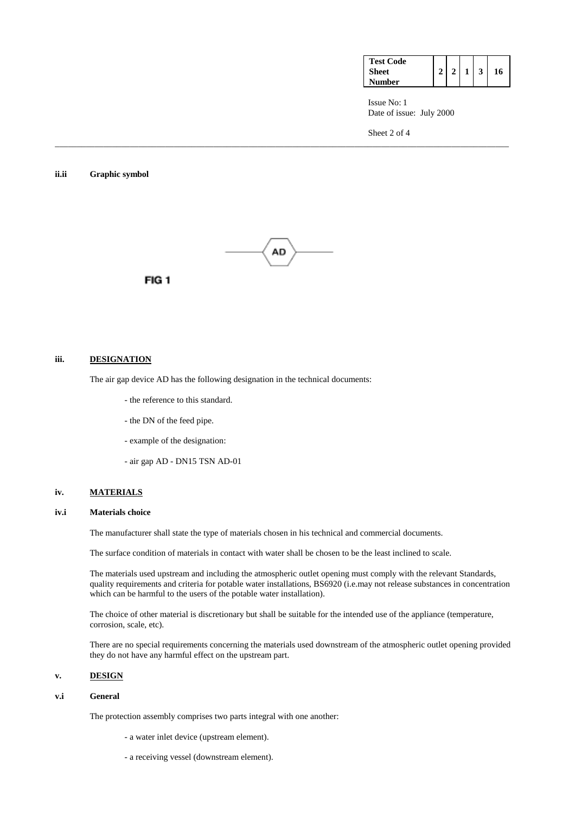| <b>Test Code</b> |  |  |    |
|------------------|--|--|----|
| <b>Sheet</b>     |  |  | 16 |
| Number           |  |  |    |

 Issue No: 1 Date of issue: July 2000

Sheet 2 of 4

### **ii.ii Graphic symbol**



\_\_\_\_\_\_\_\_\_\_\_\_\_\_\_\_\_\_\_\_\_\_\_\_\_\_\_\_\_\_\_\_\_\_\_\_\_\_\_\_\_\_\_\_\_\_\_\_\_\_\_\_\_\_\_\_\_\_\_\_\_\_\_\_\_\_\_\_\_\_\_\_\_\_\_\_\_\_\_\_\_\_\_\_\_\_\_\_\_\_\_\_\_\_\_\_\_\_\_\_\_\_\_



#### **iii. DESIGNATION**

The air gap device AD has the following designation in the technical documents:

- the reference to this standard.
- the DN of the feed pipe.
- example of the designation:
- air gap AD DN15 TSN AD-01

# **iv. MATERIALS**

#### **iv.i Materials choice**

The manufacturer shall state the type of materials chosen in his technical and commercial documents.

The surface condition of materials in contact with water shall be chosen to be the least inclined to scale.

 The materials used upstream and including the atmospheric outlet opening must comply with the relevant Standards, quality requirements and criteria for potable water installations, BS6920 (i.e.may not release substances in concentration which can be harmful to the users of the potable water installation).

 The choice of other material is discretionary but shall be suitable for the intended use of the appliance (temperature, corrosion, scale, etc).

 There are no special requirements concerning the materials used downstream of the atmospheric outlet opening provided they do not have any harmful effect on the upstream part.

### **v. DESIGN**

#### **v.i General**

The protection assembly comprises two parts integral with one another:

- a water inlet device (upstream element).
- a receiving vessel (downstream element).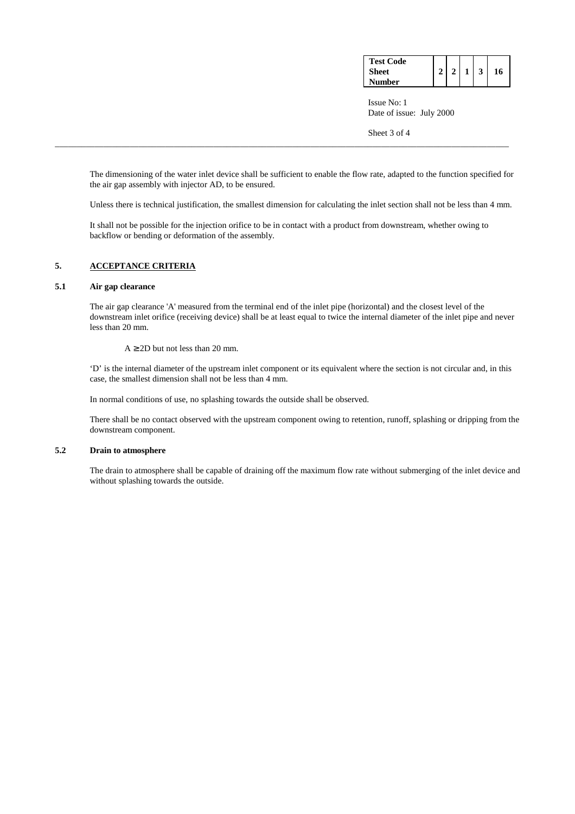| <b>Test Code</b> |  |  |    |
|------------------|--|--|----|
| <b>Sheet</b>     |  |  | 16 |
| Number           |  |  |    |

 Issue No: 1 Date of issue: July 2000

Sheet 3 of 4

 The dimensioning of the water inlet device shall be sufficient to enable the flow rate, adapted to the function specified for the air gap assembly with injector AD, to be ensured.

Unless there is technical justification, the smallest dimension for calculating the inlet section shall not be less than 4 mm.

 It shall not be possible for the injection orifice to be in contact with a product from downstream, whether owing to backflow or bending or deformation of the assembly.

\_\_\_\_\_\_\_\_\_\_\_\_\_\_\_\_\_\_\_\_\_\_\_\_\_\_\_\_\_\_\_\_\_\_\_\_\_\_\_\_\_\_\_\_\_\_\_\_\_\_\_\_\_\_\_\_\_\_\_\_\_\_\_\_\_\_\_\_\_\_\_\_\_\_\_\_\_\_\_\_\_\_\_\_\_\_\_\_\_\_\_\_\_\_\_\_\_\_\_\_\_\_\_

# **5. ACCEPTANCE CRITERIA**

# **5.1 Air gap clearance**

The air gap clearance 'A' measured from the terminal end of the inlet pipe (horizontal) and the closest level of the downstream inlet orifice (receiving device) shall be at least equal to twice the internal diameter of the inlet pipe and never less than 20 mm.

 $A > 2D$  but not less than 20 mm.

 'D' is the internal diameter of the upstream inlet component or its equivalent where the section is not circular and, in this case, the smallest dimension shall not be less than 4 mm.

In normal conditions of use, no splashing towards the outside shall be observed.

 There shall be no contact observed with the upstream component owing to retention, runoff, splashing or dripping from the downstream component.

# **5.2 Drain to atmosphere**

The drain to atmosphere shall be capable of draining off the maximum flow rate without submerging of the inlet device and without splashing towards the outside.